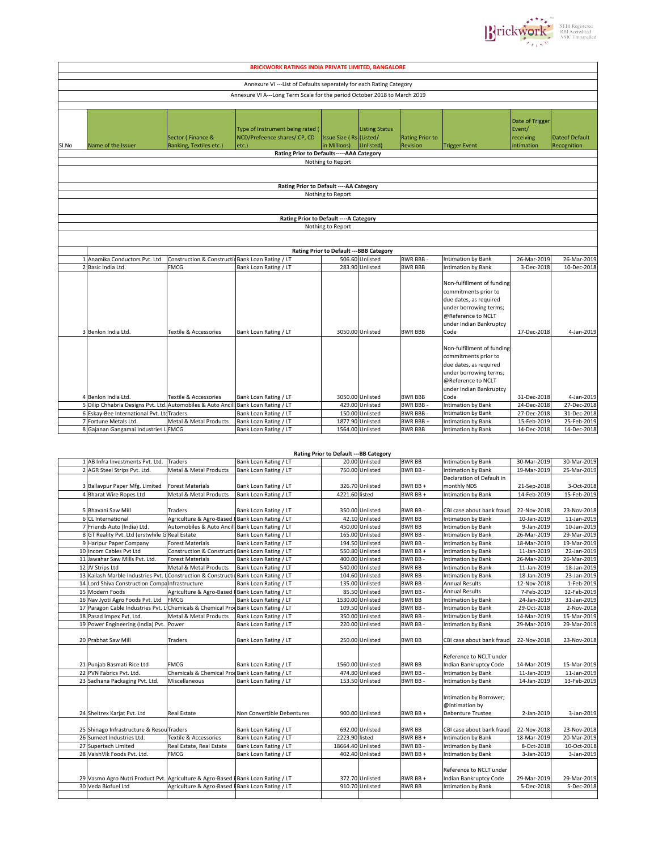

| <b>BRICKWORK RATINGS INDIA PRIVATE LIMITED, BANGALORE</b>            |                                                                                                                                                           |                                                            |                                                                                                  |                                          |                                    |                                                           |                                                                                                                                                                                                                       |                                                          |                                                         |  |
|----------------------------------------------------------------------|-----------------------------------------------------------------------------------------------------------------------------------------------------------|------------------------------------------------------------|--------------------------------------------------------------------------------------------------|------------------------------------------|------------------------------------|-----------------------------------------------------------|-----------------------------------------------------------------------------------------------------------------------------------------------------------------------------------------------------------------------|----------------------------------------------------------|---------------------------------------------------------|--|
|                                                                      |                                                                                                                                                           |                                                            |                                                                                                  |                                          |                                    |                                                           |                                                                                                                                                                                                                       |                                                          |                                                         |  |
| Annexure VI --- List of Defaults seperately for each Rating Category |                                                                                                                                                           |                                                            |                                                                                                  |                                          |                                    |                                                           |                                                                                                                                                                                                                       |                                                          |                                                         |  |
|                                                                      |                                                                                                                                                           |                                                            | Annexure VI A---Long Term Scale for the period October 2018 to March 2019                        |                                          |                                    |                                                           |                                                                                                                                                                                                                       |                                                          |                                                         |  |
|                                                                      |                                                                                                                                                           |                                                            |                                                                                                  |                                          |                                    |                                                           |                                                                                                                                                                                                                       |                                                          |                                                         |  |
| Sl.No                                                                | Name of the Issuer                                                                                                                                        | Sector (Finance &<br><b>Banking, Textiles etc.)</b>        | Type of Instrument being rated (<br>NCD/Prefeence shares/ CP, CD<br>etc.                         | Issue Size (Rs (Listed/<br>in Millions)  | <b>Listing Status</b><br>Unlisted) | <b>Rating Prior to</b><br>Revision                        | <b>Trigger Event</b>                                                                                                                                                                                                  | Date of Trigger<br>Event/<br>receiving<br>intimation     | <b>Dateof Default</b><br>Recognition                    |  |
|                                                                      |                                                                                                                                                           |                                                            | Rating Prior to Defaults-----AAA Category                                                        |                                          |                                    |                                                           |                                                                                                                                                                                                                       |                                                          |                                                         |  |
|                                                                      |                                                                                                                                                           |                                                            |                                                                                                  | Nothing to Report                        |                                    |                                                           |                                                                                                                                                                                                                       |                                                          |                                                         |  |
|                                                                      |                                                                                                                                                           |                                                            |                                                                                                  |                                          |                                    |                                                           |                                                                                                                                                                                                                       |                                                          |                                                         |  |
|                                                                      |                                                                                                                                                           |                                                            | Rating Prior to Default ---- AA Category                                                         |                                          |                                    |                                                           |                                                                                                                                                                                                                       |                                                          |                                                         |  |
|                                                                      |                                                                                                                                                           |                                                            |                                                                                                  | Nothing to Report                        |                                    |                                                           |                                                                                                                                                                                                                       |                                                          |                                                         |  |
|                                                                      |                                                                                                                                                           |                                                            |                                                                                                  |                                          |                                    |                                                           |                                                                                                                                                                                                                       |                                                          |                                                         |  |
|                                                                      |                                                                                                                                                           |                                                            | Rating Prior to Default ---- A Category                                                          |                                          |                                    |                                                           |                                                                                                                                                                                                                       |                                                          |                                                         |  |
|                                                                      |                                                                                                                                                           |                                                            |                                                                                                  | Nothing to Report                        |                                    |                                                           |                                                                                                                                                                                                                       |                                                          |                                                         |  |
|                                                                      |                                                                                                                                                           |                                                            |                                                                                                  | Rating Prior to Default --- BBB Category |                                    |                                                           |                                                                                                                                                                                                                       |                                                          |                                                         |  |
|                                                                      | 1 Anamika Conductors Pvt. Ltd                                                                                                                             | Construction & Constructic Bank Loan Rating / LT           |                                                                                                  |                                          | 506.60 Unlisted                    | <b>BWR BBB-</b>                                           | Intimation by Bank                                                                                                                                                                                                    | 26-Mar-2019                                              | 26-Mar-2019                                             |  |
|                                                                      | 2 Basic India Ltd.                                                                                                                                        | <b>FMCG</b>                                                | Bank Loan Rating / LT                                                                            |                                          | 283.90 Unlisted                    | <b>BWR BBB</b>                                            | <b>Intimation by Bank</b>                                                                                                                                                                                             | 3-Dec-2018                                               | 10-Dec-2018                                             |  |
|                                                                      | 3 Benlon India Ltd.                                                                                                                                       | Textile & Accessories                                      | Bank Loan Rating / LT                                                                            | 3050.00 Unlisted                         |                                    | <b>BWR BBB</b>                                            | Non-fulfillment of funding<br>commitments prior to<br>due dates, as required<br>under borrowing terms;<br>@Reference to NCLT<br>under Indian Bankruptcy<br>Code<br>Non-fulfillment of funding<br>commitments prior to | 17-Dec-2018                                              | 4-Jan-2019                                              |  |
|                                                                      | 4 Benlon India Ltd.<br>5 Dilip Chhabria Designs Pvt. Ltd. Automobiles & Auto Ancill<br>6 Eskay-Bee International Pvt. LtdTraders<br>7 Fortune Metals Ltd. | <b>Textile &amp; Accessories</b><br>Metal & Metal Products | Bank Loan Rating / LT<br>Bank Loan Rating / LT<br>Bank Loan Rating / LT<br>Bank Loan Rating / LT | 3050.00 Unlisted<br>1877.90 Unlisted     | 429.00 Unlisted<br>150.00 Unlisted | <b>BWR BBB</b><br>BWR BBB-<br><b>BWR BBB-</b><br>BWR BBB+ | due dates, as required<br>under borrowing terms;<br>@Reference to NCLT<br>under Indian Bankruptcy<br>Code<br><b>Intimation by Bank</b><br>Intimation by Bank<br><b>Intimation by Bank</b>                             | 31-Dec-2018<br>24-Dec-2018<br>27-Dec-2018<br>15-Feb-2019 | 4-Jan-2019<br>27-Dec-2018<br>31-Dec-2018<br>25-Feb-2019 |  |
|                                                                      | 8 Gajanan Gangamai Industries LFMCG                                                                                                                       |                                                            | Bank Loan Rating / LT                                                                            | 1564.00 Unlisted                         |                                    | <b>BWR BBB</b>                                            | <b>Intimation by Bank</b>                                                                                                                                                                                             | 14-Dec-2018                                              | 14-Dec-2018                                             |  |

|                                                                                  |                                                  |                            | Rating Prior to Default --- BB Category |                  |                |                           |             |             |
|----------------------------------------------------------------------------------|--------------------------------------------------|----------------------------|-----------------------------------------|------------------|----------------|---------------------------|-------------|-------------|
| 1 AB Infra Investments Pvt. Ltd.                                                 | <b>Traders</b>                                   | Bank Loan Rating / LT      |                                         | 20.00 Unlisted   | <b>BWR BB</b>  | <b>Intimation by Bank</b> | 30-Mar-2019 | 30-Mar-2019 |
| 2 AGR Steel Strips Pvt. Ltd.                                                     | Metal & Metal Products                           | Bank Loan Rating / LT      |                                         | 750.00 Unlisted  | <b>BWR BB-</b> | <b>Intimation by Bank</b> | 19-Mar-2019 | 25-Mar-2019 |
|                                                                                  |                                                  |                            |                                         |                  |                | Declaration of Default in |             |             |
| 3 Ballavpur Paper Mfg. Limited                                                   | <b>Forest Materials</b>                          | Bank Loan Rating / LT      |                                         | 326.70 Unlisted  | BWR BB+        | monthly NDS               | 21-Sep-2018 | 3-Oct-2018  |
| 4 Bharat Wire Ropes Ltd                                                          | Metal & Metal Products                           | Bank Loan Rating / LT      | 4221.60 listed                          |                  | BWR BB +       | Intimation by Bank        | 14-Feb-2019 | 15-Feb-2019 |
|                                                                                  |                                                  |                            |                                         |                  |                |                           |             |             |
| 5 Bhavani Saw Mill                                                               | <b>Traders</b>                                   | Bank Loan Rating / LT      |                                         | 350.00 Unlisted  | BWR BB-        | CBI case about bank fraud | 22-Nov-2018 | 23-Nov-2018 |
| 6 CL International                                                               | Agriculture & Agro-Based FBank Loan Rating / LT  |                            |                                         | 42.10 Unlisted   | <b>BWR BB</b>  | <b>Intimation by Bank</b> | 10-Jan-2019 | 11-Jan-2019 |
| 7 Friends Auto (India) Ltd.                                                      | Automobiles & Auto Ancill: Bank Loan Rating / LT |                            |                                         | 450.00 Unlisted  | <b>BWR BB</b>  | Intimation by Bank        | 9-Jan-2019  | 10-Jan-2019 |
| 8 GT Reality Pvt. Ltd (erstwhile G Real Estate                                   |                                                  | Bank Loan Rating / LT      |                                         | 165.00 Unlisted  | <b>BWR BB-</b> | Intimation by Bank        | 26-Mar-2019 | 29-Mar-2019 |
| 9 Haripur Paper Company                                                          | <b>Forest Materials</b>                          | Bank Loan Rating / LT      |                                         | 194.50 Unlisted  | <b>BWR BB-</b> | Intimation by Bank        | 18-Mar-2019 | 19-Mar-2019 |
| 10 Incom Cables Pvt Ltd                                                          | Construction & Constructic Bank Loan Rating / LT |                            |                                         | 550.80 Unlisted  | BWR BB +       | <b>Intimation by Bank</b> | 11-Jan-2019 | 22-Jan-2019 |
| 11 Jawahar Saw Mills Pvt. Ltd.                                                   | <b>Forest Materials</b>                          | Bank Loan Rating / LT      |                                         | 400.00 Unlisted  | <b>BWR BB</b>  | <b>Intimation by Bank</b> | 26-Mar-2019 | 26-Mar-2019 |
| 12 JV Strips Ltd                                                                 | Metal & Metal Products                           | Bank Loan Rating / LT      |                                         | 540.00 Unlisted  | <b>BWR BB</b>  | Intimation by Bank        | 11-Jan-2019 | 18-Jan-2019 |
| 13 Kailash Marble Industries Pvt.                                                | Construction & Constructic Bank Loan Rating / LT |                            |                                         | 104.60 Unlisted  | BWR BB-        | Intimation by Bank        | 18-Jan-2019 | 23-Jan-2019 |
| 14 Lord Shiva Construction CompaInfrastructure                                   |                                                  | Bank Loan Rating / LT      |                                         | 135.00 Unlisted  | <b>BWR BB</b>  | <b>Annual Results</b>     | 12-Nov-2018 | 1-Feb-2019  |
| 15 Modern Foods                                                                  | Agriculture & Agro-Based FBank Loan Rating / LT  |                            |                                         | 85.50 Unlisted   | <b>BWR BB-</b> | <b>Annual Results</b>     | 7-Feb-2019  | 12-Feb-2019 |
| 16 Nav Jyoti Agro Foods Pvt. Ltd                                                 | <b>FMCG</b>                                      | Bank Loan Rating / LT      |                                         | 1530.00 Unlisted | <b>BWR BB</b>  | <b>Intimation by Bank</b> | 24-Jan-2019 | 31-Jan-2019 |
| 17 Paragon Cable Industries Pvt.                                                 | Chemicals & Chemical ProcBank Loan Rating / LT   |                            |                                         | 109.50 Unlisted  | BWR BB-        | Intimation by Bank        | 29-Oct-2018 | 2-Nov-2018  |
| 18 Pasad Impex Pvt. Ltd.                                                         | Metal & Metal Products                           | Bank Loan Rating / LT      |                                         | 350.00 Unlisted  | BWR BB-        | <b>Intimation by Bank</b> | 14-Mar-2019 | 15-Mar-2019 |
| 19 Power Engineering (India) Pvt.                                                | Power                                            | Bank Loan Rating / LT      |                                         | 220.00 Unlisted  | BWR BB-        | Intimation by Bank        | 29-Mar-2019 | 29-Mar-2019 |
|                                                                                  |                                                  |                            |                                         |                  |                |                           |             |             |
| 20 Prabhat Saw Mill                                                              | <b>Traders</b>                                   | Bank Loan Rating / LT      |                                         | 250.00 Unlisted  | <b>BWR BB</b>  | CBI case about bank fraud | 22-Nov-2018 | 23-Nov-2018 |
|                                                                                  |                                                  |                            |                                         |                  |                |                           |             |             |
|                                                                                  |                                                  |                            |                                         |                  |                | Reference to NCLT under   |             |             |
| 21 Punjab Basmati Rice Ltd                                                       | <b>FMCG</b>                                      | Bank Loan Rating / LT      |                                         | 1560.00 Unlisted | <b>BWR BB</b>  | Indian Bankruptcy Code    | 14-Mar-2019 | 15-Mar-2019 |
| 22 PVN Fabrics Pvt. Ltd.                                                         | Chemicals & Chemical ProdBank Loan Rating / LT   |                            |                                         | 474.80 Unlisted  | <b>BWR BB-</b> | <b>Intimation by Bank</b> | 11-Jan-2019 | 11-Jan-2019 |
| 23 Sadhana Packaging Pvt. Ltd.                                                   | Miscellaneous                                    | Bank Loan Rating / LT      |                                         | 153.50 Unlisted  | <b>BWR BB-</b> | Intimation by Bank        | 14-Jan-2019 | 13-Feb-2019 |
|                                                                                  |                                                  |                            |                                         |                  |                |                           |             |             |
|                                                                                  |                                                  |                            |                                         |                  |                | Intimation by Borrower;   |             |             |
|                                                                                  |                                                  |                            |                                         |                  |                | @Intimation by            |             |             |
| 24 Sheltrex Karjat Pvt. Ltd                                                      | <b>Real Estate</b>                               | Non Convertible Debentures |                                         | 900.00 Unlisted  | BWR BB +       | <b>Debenture Trustee</b>  | 2-Jan-2019  | 3-Jan-2019  |
|                                                                                  |                                                  |                            |                                         |                  |                |                           |             |             |
| 25 Shinago Infrastructure & Resou Traders                                        |                                                  | Bank Loan Rating / LT      |                                         | 692.00 Unlisted  | <b>BWR BB</b>  | CBI case about bank fraud | 22-Nov-2018 | 23-Nov-2018 |
| 26 Sumeet Industries Ltd.                                                        | Textile & Accessories                            | Bank Loan Rating / LT      | 2223.90 listed                          |                  | BWR BB +       | <b>Intimation by Bank</b> | 18-Mar-2019 | 20-Mar-2019 |
| 27 Supertech Limited                                                             | Real Estate, Real Estate                         | Bank Loan Rating / LT      | 18664.40 Unlisted                       |                  | <b>BWR BB-</b> | Intimation by Bank        | 8-Oct-2018  | 10-Oct-2018 |
| 28 VaishVik Foods Pvt. Ltd.                                                      | <b>FMCG</b>                                      | Bank Loan Rating / LT      |                                         | 402.40 Unlisted  | BWR BB +       | Intimation by Bank        | 3-Jan-2019  | 3-Jan-2019  |
|                                                                                  |                                                  |                            |                                         |                  |                |                           |             |             |
|                                                                                  |                                                  |                            |                                         |                  |                | Reference to NCLT under   |             |             |
| 29 Vasmo Agro Nutri Product Pvt. Agriculture & Agro-Based FBank Loan Rating / LT |                                                  |                            |                                         | 372.70 Unlisted  | BWR BB +       | Indian Bankruptcy Code    | 29-Mar-2019 | 29-Mar-2019 |
| 30 Veda Biofuel Ltd                                                              | Agriculture & Agro-Based FBank Loan Rating / LT  |                            |                                         | 910.70 Unlisted  | <b>BWR BB</b>  | Intimation by Bank        | 5-Dec-2018  | 5-Dec-2018  |
|                                                                                  |                                                  |                            |                                         |                  |                |                           |             |             |